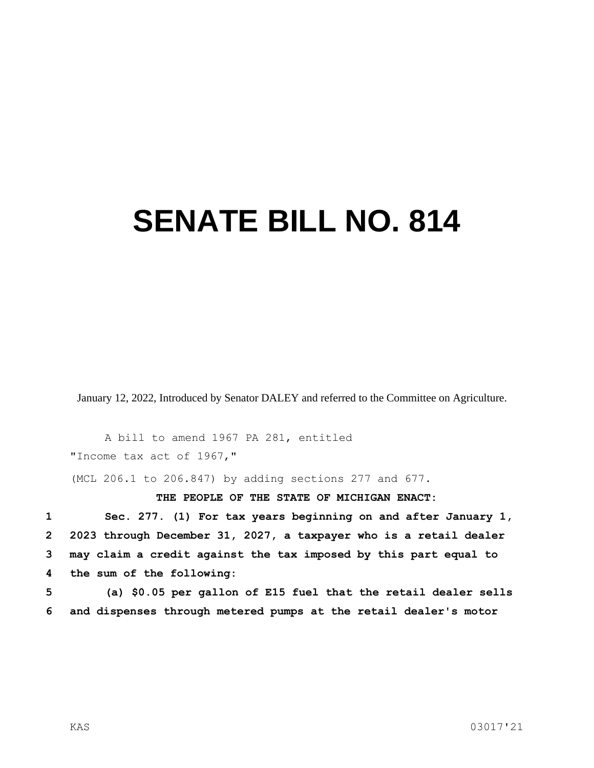## **SENATE BILL NO. 814**

January 12, 2022, Introduced by Senator DALEY and referred to the Committee on Agriculture.

A bill to amend 1967 PA 281, entitled "Income tax act of 1967,"

(MCL 206.1 to 206.847) by adding sections 277 and 677.

**THE PEOPLE OF THE STATE OF MICHIGAN ENACT:**

 **Sec. 277. (1) For tax years beginning on and after January 1, 2023 through December 31, 2027, a taxpayer who is a retail dealer may claim a credit against the tax imposed by this part equal to the sum of the following:**

**5 (a) \$0.05 per gallon of E15 fuel that the retail dealer sells 6 and dispenses through metered pumps at the retail dealer's motor**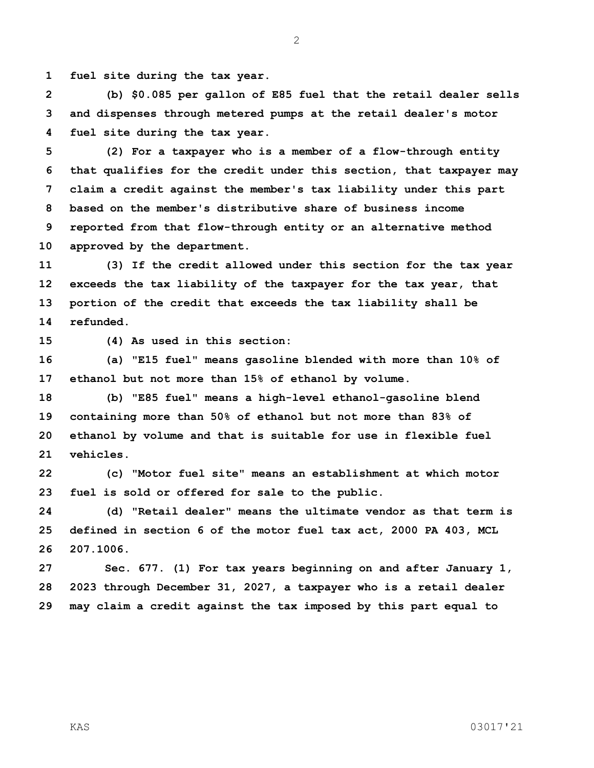**fuel site during the tax year.**

 **(b) \$0.085 per gallon of E85 fuel that the retail dealer sells and dispenses through metered pumps at the retail dealer's motor fuel site during the tax year.**

 **(2) For a taxpayer who is a member of a flow-through entity that qualifies for the credit under this section, that taxpayer may claim a credit against the member's tax liability under this part based on the member's distributive share of business income reported from that flow-through entity or an alternative method approved by the department.**

 **(3) If the credit allowed under this section for the tax year exceeds the tax liability of the taxpayer for the tax year, that portion of the credit that exceeds the tax liability shall be refunded.**

**(4) As used in this section:**

 **(a) "E15 fuel" means gasoline blended with more than 10% of ethanol but not more than 15% of ethanol by volume.**

 **(b) "E85 fuel" means a high-level ethanol-gasoline blend containing more than 50% of ethanol but not more than 83% of ethanol by volume and that is suitable for use in flexible fuel vehicles.**

 **(c) "Motor fuel site" means an establishment at which motor fuel is sold or offered for sale to the public.**

 **(d) "Retail dealer" means the ultimate vendor as that term is defined in section 6 of the motor fuel tax act, 2000 PA 403, MCL 207.1006.**

 **Sec. 677. (1) For tax years beginning on and after January 1, 2023 through December 31, 2027, a taxpayer who is a retail dealer may claim a credit against the tax imposed by this part equal to** 

KAS 03017'21